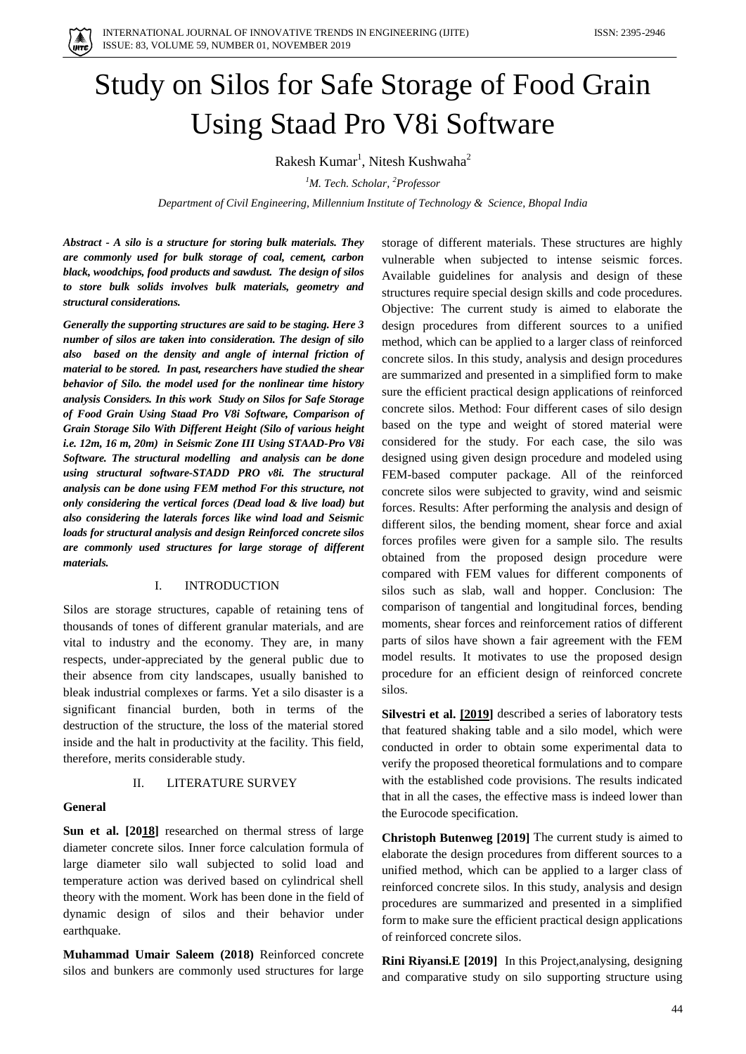

# Study on Silos for Safe Storage of Food Grain Using Staad Pro V8i Software

Rakesh Kumar<sup>1</sup>, Nitesh Kushwaha<sup>2</sup>

*<sup>1</sup>M. Tech. Scholar, <sup>2</sup>Professor*

*Department of Civil Engineering, Millennium Institute of Technology & Science, Bhopal India*

*Abstract - A silo is a structure for storing bulk materials. They are commonly used for bulk storage of coal, cement, carbon black, woodchips, food products and sawdust. The design of silos to store bulk solids involves bulk materials, geometry and structural considerations.* 

*Generally the supporting structures are said to be staging. Here 3 number of silos are taken into consideration. The design of silo also based on the density and angle of internal friction of material to be stored. In past, researchers have studied the shear behavior of Silo. the model used for the nonlinear time history analysis Considers. In this work Study on Silos for Safe Storage of Food Grain Using Staad Pro V8i Software, Comparison of Grain Storage Silo With Different Height (Silo of various height i.e. 12m, 16 m, 20m) in Seismic Zone III Using STAAD-Pro V8i Software. The structural modelling and analysis can be done using structural software-STADD PRO v8i. The structural analysis can be done using FEM method For this structure, not only considering the vertical forces (Dead load & live load) but also considering the laterals forces like wind load and Seismic loads for structural analysis and design Reinforced concrete silos are commonly used structures for large storage of different materials.*

## I. INTRODUCTION

Silos are storage structures, capable of retaining tens of thousands of tones of different granular materials, and are vital to industry and the economy. They are, in many respects, under-appreciated by the general public due to their absence from city landscapes, usually banished to bleak industrial complexes or farms. Yet a silo disaster is a significant financial burden, both in terms of the destruction of the structure, the loss of the material stored inside and the halt in productivity at the facility. This field, therefore, merits considerable study.

#### II. LITERATURE SURVEY

#### **General**

**Sun et al. [2[018\]](file:///C:\Users\Pratiksha%20Malviya\Downloads\A_Simplified_Approach_for_Analysis_and_Design_of_R.docx%23_bookmark34)** researched on thermal stress of large diameter concrete silos. Inner force calculation formula of large diameter silo wall subjected to solid load and temperature action was derived based on cylindrical shell theory with the moment. Work has been done in the field of dynamic design of silos and their behavior under earthquake.

**Muhammad Umair Saleem (2018)** Reinforced concrete silos and bunkers are commonly used structures for large storage of different materials. These structures are highly vulnerable when subjected to intense seismic forces. Available guidelines for analysis and design of these structures require special design skills and code procedures. Objective: The current study is aimed to elaborate the design procedures from different sources to a unified method, which can be applied to a larger class of reinforced concrete silos. In this study, analysis and design procedures are summarized and presented in a simplified form to make sure the efficient practical design applications of reinforced concrete silos. Method: Four different cases of silo design based on the type and weight of stored material were considered for the study. For each case, the silo was designed using given design procedure and modeled using FEM-based computer package. All of the reinforced concrete silos were subjected to gravity, wind and seismic forces. Results: After performing the analysis and design of different silos, the bending moment, shear force and axial forces profiles were given for a sample silo. The results obtained from the proposed design procedure were compared with FEM values for different components of silos such as slab, wall and hopper. Conclusion: The comparison of tangential and longitudinal forces, bending moments, shear forces and reinforcement ratios of different parts of silos have shown a fair agreement with the FEM model results. It motivates to use the proposed design procedure for an efficient design of reinforced concrete silos.

**Silvestri et al. [\[2019\]](file:///C:\Users\Pratiksha%20Malviya\Downloads\A_Simplified_Approach_for_Analysis_and_Design_of_R.docx%23_bookmark35)** described a series of laboratory tests that featured shaking table and a silo model, which were conducted in order to obtain some experimental data to verify the proposed theoretical formulations and to compare with the established code provisions. The results indicated that in all the cases, the effective mass is indeed lower than the Eurocode specification.

**Christoph Butenweg [2019]** The current study is aimed to elaborate the design procedures from different sources to a unified method, which can be applied to a larger class of reinforced concrete silos. In this study, analysis and design procedures are summarized and presented in a simplified form to make sure the efficient practical design applications of reinforced concrete silos.

**Rini Riyansi.E [2019]** In this Project,analysing, designing and comparative study on silo supporting structure using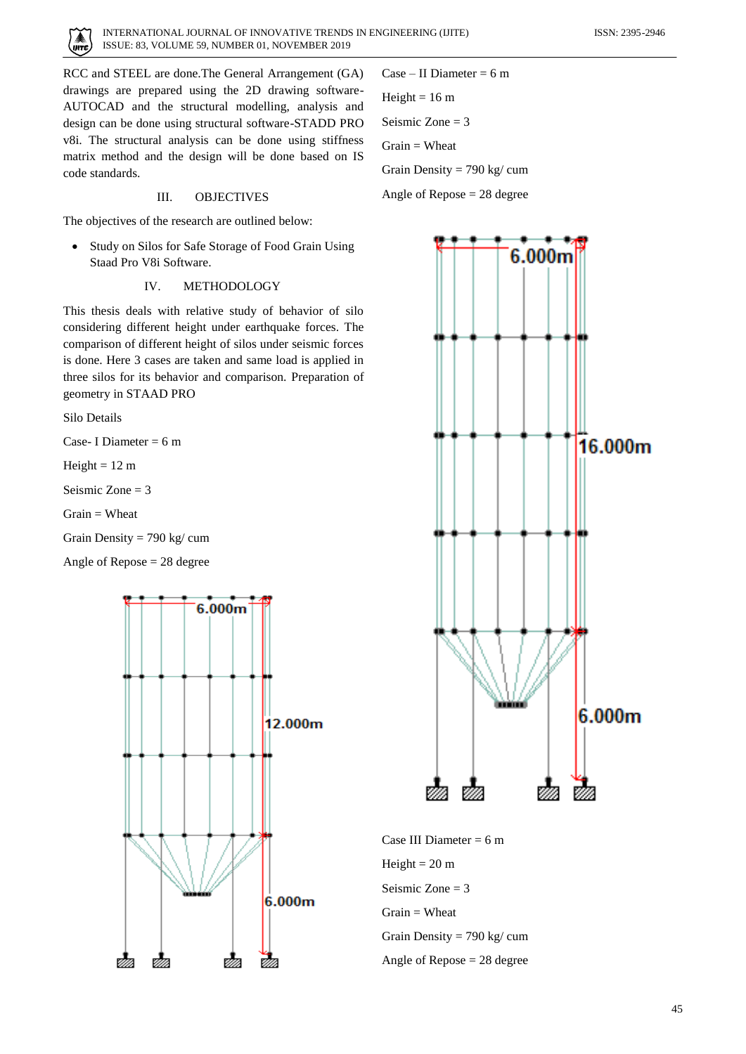

RCC and STEEL are done.The General Arrangement (GA) drawings are prepared using the 2D drawing software-AUTOCAD and the structural modelling, analysis and design can be done using structural software-STADD PRO v8i. The structural analysis can be done using stiffness matrix method and the design will be done based on IS code standards.

#### III. OBJECTIVES

The objectives of the research are outlined below:

• Study on Silos for Safe Storage of Food Grain Using Staad Pro V8i Software.

## IV. METHODOLOGY

This thesis deals with relative study of behavior of silo considering different height under earthquake forces. The comparison of different height of silos under seismic forces is done. Here 3 cases are taken and same load is applied in three silos for its behavior and comparison. Preparation of geometry in STAAD PRO

Silo Details

Case- I Diameter  $= 6$  m

Height  $= 12$  m

Seismic  $Z$ one = 3

 $Grain = **Wheat**$ 

Grain Density = 790 kg/ cum

Angle of Repose = 28 degree



Case – II Diameter =  $6 \text{ m}$ Height =  $16 \text{ m}$ Seismic Zone = 3  $Grain = **Wheat**$ Grain Density = 790 kg/ cum

Angle of Repose = 28 degree



Case III Diameter  $= 6$  m Height  $= 20$  m Seismic Zone = 3  $Grain = **Wheat**$ Grain Density = 790 kg/ cum Angle of Repose = 28 degree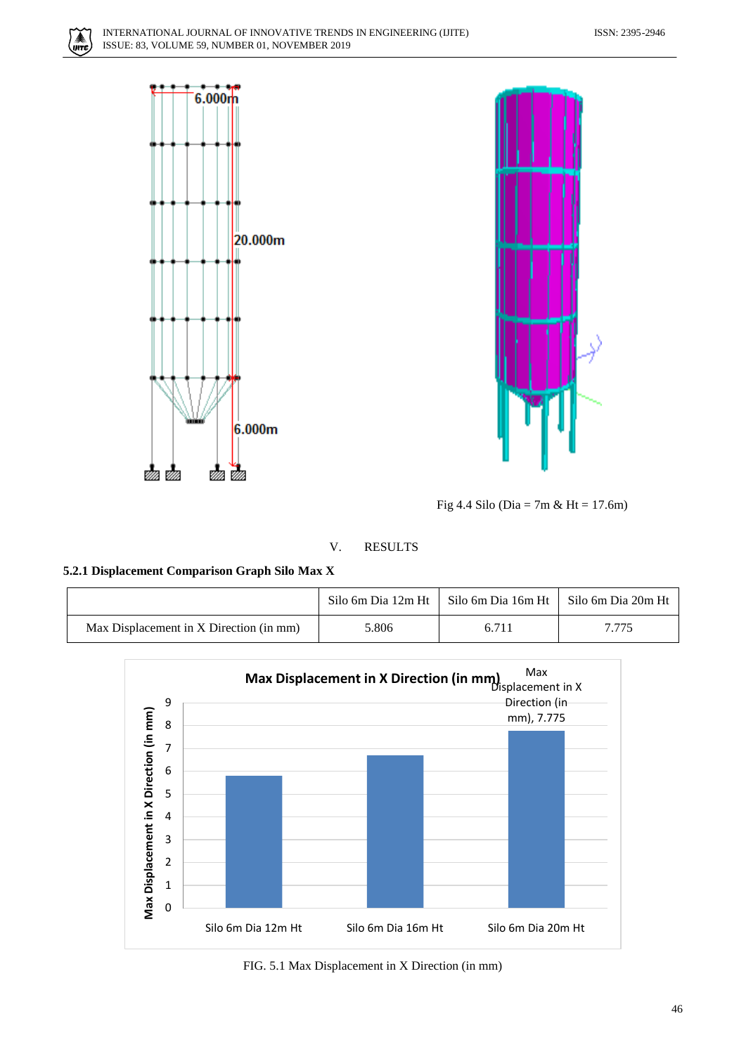





Fig 4.4 Silo (Dia = 7m & Ht = 17.6m)

# V. RESULTS

**5.2.1 Displacement Comparison Graph Silo Max X**

|                                         |       | Silo 6m Dia 12m Ht   Silo 6m Dia 16m Ht | Silo 6m Dia 20m Ht |
|-----------------------------------------|-------|-----------------------------------------|--------------------|
| Max Displacement in X Direction (in mm) | 5.806 | 6.711                                   | 7.775              |



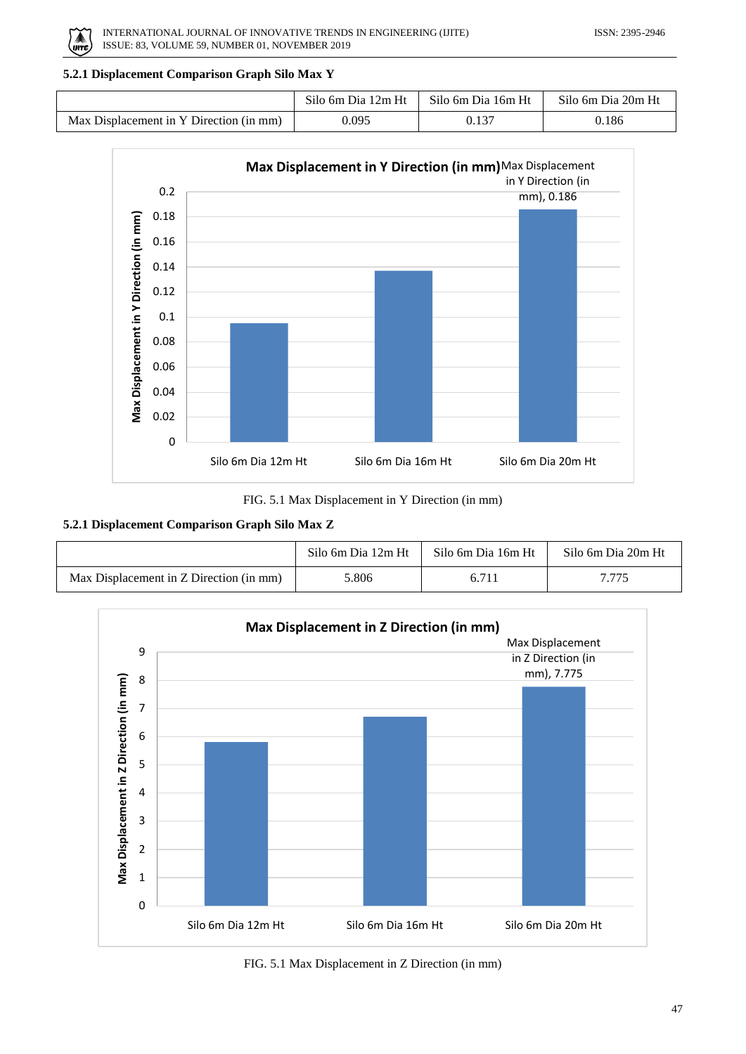

# **5.2.1 Displacement Comparison Graph Silo Max Y**

|                                         | Silo 6m Dia 12m Ht 1 | Silo 6m Dia 16m Ht | Silo 6m Dia 20m Ht |
|-----------------------------------------|----------------------|--------------------|--------------------|
| Max Displacement in Y Direction (in mm) | 0.095                |                    | 0.186              |



FIG. 5.1 Max Displacement in Y Direction (in mm)

## **5.2.1 Displacement Comparison Graph Silo Max Z**

|                                         | Silo 6m Dia 12m Ht | Silo 6m Dia 16m Ht | Silo 6m Dia 20m Ht |
|-----------------------------------------|--------------------|--------------------|--------------------|
| Max Displacement in Z Direction (in mm) | 5.806              | 6.711              | 7.775              |



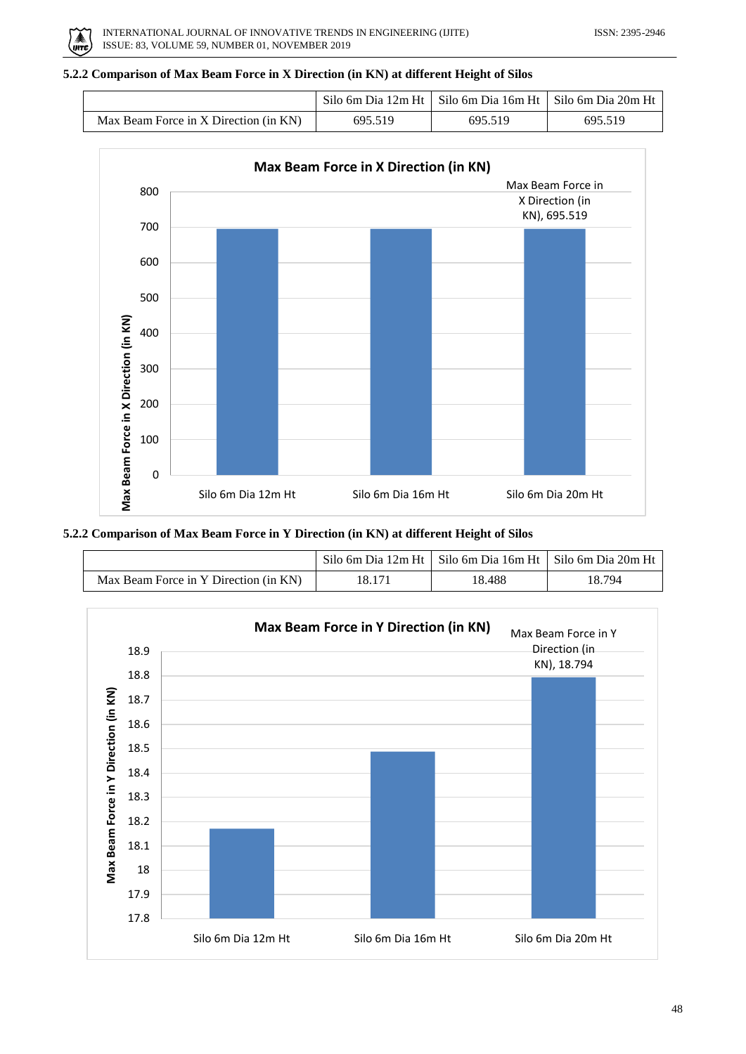

# **5.2.2 Comparison of Max Beam Force in X Direction (in KN) at different Height of Silos**

|                                       |         | Silo 6m Dia 12m Ht   Silo 6m Dia 16m Ht   Silo 6m Dia 20m Ht |         |
|---------------------------------------|---------|--------------------------------------------------------------|---------|
| Max Beam Force in X Direction (in KN) | 695.519 | 695.519                                                      | 695 519 |



**5.2.2 Comparison of Max Beam Force in Y Direction (in KN) at different Height of Silos**

|                                       |        | Silo 6m Dia 12m Ht   Silo 6m Dia 16m Ht   Silo 6m Dia 20m Ht |        |
|---------------------------------------|--------|--------------------------------------------------------------|--------|
| Max Beam Force in Y Direction (in KN) | 18.171 | 18.488                                                       | 18.794 |

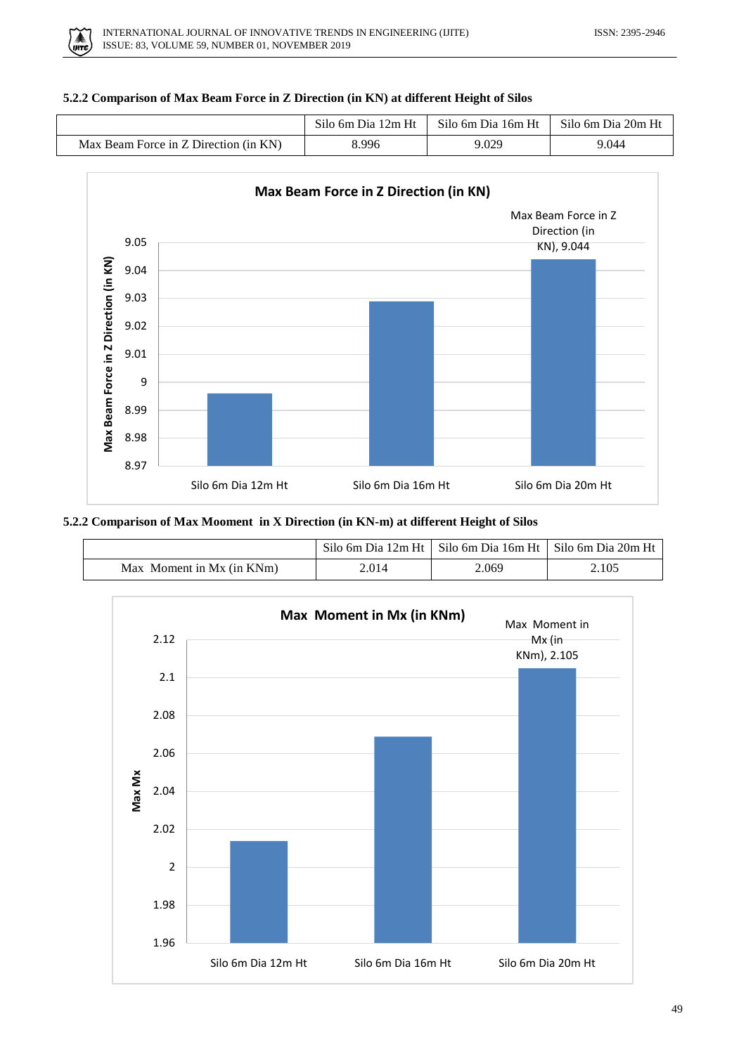

# **5.2.2 Comparison of Max Beam Force in Z Direction (in KN) at different Height of Silos**

|                                       | Silo 6m Dia 12m Ht | Silo 6m Dia 16m Ht | Silo 6m Dia 20m Ht |
|---------------------------------------|--------------------|--------------------|--------------------|
| Max Beam Force in Z Direction (in KN) | 8.996              | 9.029              | 9.044              |



# **5.2.2 Comparison of Max Mooment in X Direction (in KN-m) at different Height of Silos**

|                              |       | Silo 6m Dia 12m Ht   Silo 6m Dia 16m Ht   Silo 6m Dia 20m Ht |       |
|------------------------------|-------|--------------------------------------------------------------|-------|
| Moment in Mx (in KNm)<br>Max | 2.014 | 2.069                                                        | 2.105 |

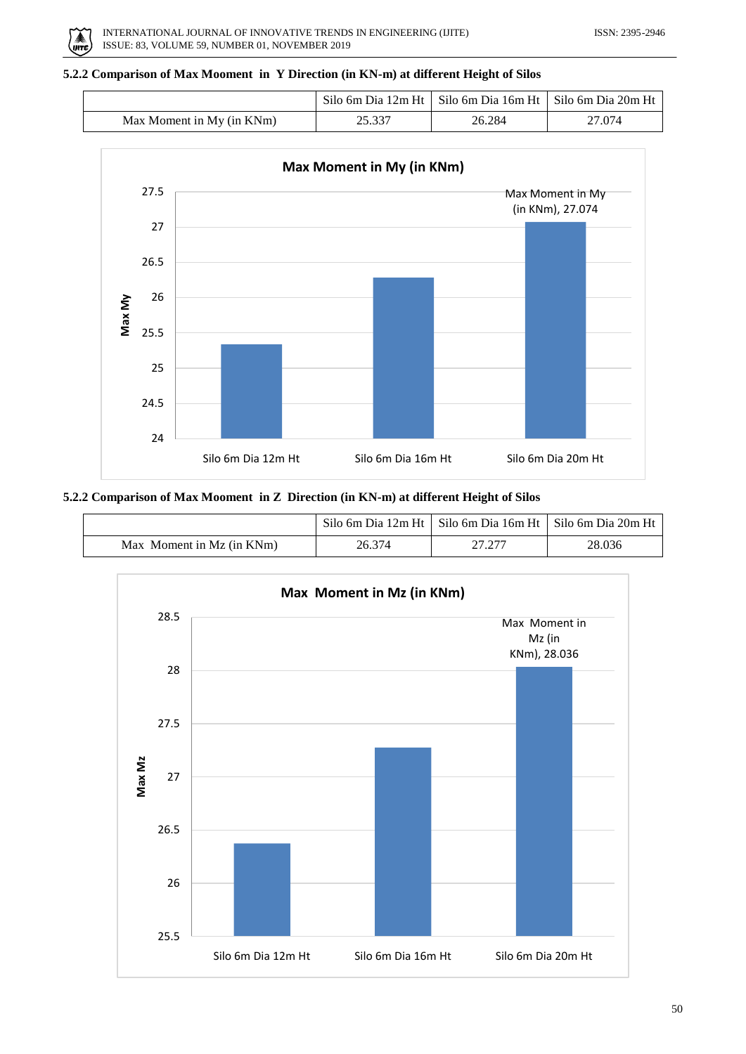

# **5.2.2 Comparison of Max Mooment in Y Direction (in KN-m) at different Height of Silos**

|                           |        | Silo 6m Dia 12m Ht   Silo 6m Dia 16m Ht   Silo 6m Dia 20m Ht |        |
|---------------------------|--------|--------------------------------------------------------------|--------|
| Max Moment in My (in KNm) | 25.337 | 26.284                                                       | 27.074 |



## **5.2.2 Comparison of Max Mooment in Z Direction (in KN-m) at different Height of Silos**

|                           |        | Silo 6m Dia 12m Ht   Silo 6m Dia 16m Ht   Silo 6m Dia 20m Ht |        |
|---------------------------|--------|--------------------------------------------------------------|--------|
| Max Moment in Mz (in KNm) | 26.374 | 27.277                                                       | 28.036 |